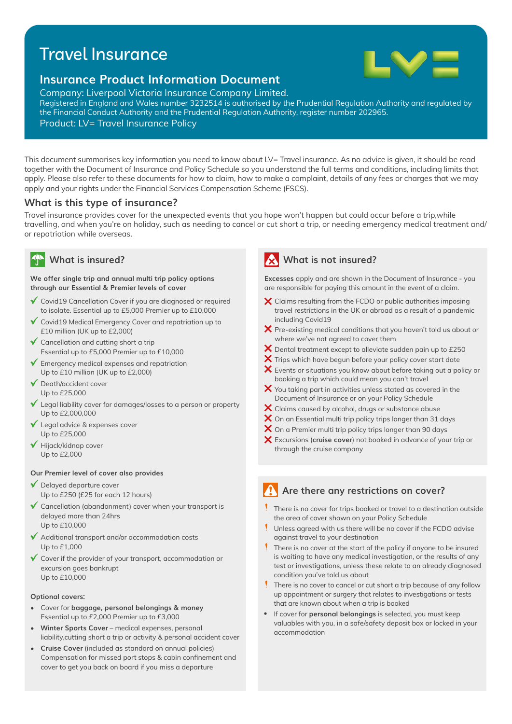# Travel Insurance



## **Insurance Product Information Document**

Company: Liverpool Victoria Insurance Company Limited.

Registered in England and Wales number 3232514 is authorised by the Prudential Regulation Authority and regulated by the Financial Conduct Authority and the Prudential Regulation Authority, register number 202965. Product: LV= Travel Insurance Policy

This document summarises key information you need to know about LV= Travel insurance. As no advice is given, it should be read together with the Document of Insurance and Policy Schedule so you understand the full terms and conditions, including limits that apply. Please also refer to these documents for how to claim, how to make a complaint, details of any fees or charges that we may apply and your rights under the Financial Services Compensation Scheme (FSCS).

## **What is this type of insurance?**

Travel insurance provides cover for the unexpected events that you hope won't happen but could occur before a trip,while travelling, and when you're on holiday, such as needing to cancel or cut short a trip, or needing emergency medical treatment and/ or repatriation while overseas.

**We offer single trip and annual multi trip policy options through our Essential & Premier levels of cover**

- ◆ Covid19 Cancellation Cover if you are diagnosed or required to isolate. Essential up to £5,000 Premier up to £10,000
- $\checkmark$  Covid19 Medical Emergency Cover and repatriation up to £10 million (UK up to £2,000)
- $\checkmark$  Cancellation and cutting short a trip Essential up to £5,000 Premier up to £10,000
- $\checkmark$  Emergency medical expenses and repatriation Up to £10 million (UK up to £2,000)
- $\sqrt{\phantom{a}}$  Death/accident cover Up to £25,000
- $\checkmark$  Legal liability cover for damages/losses to a person or property Up to £2,000,000
- Legal advice & expenses cover Up to £25,000
- $\blacktriangledown$  Hijack/kidnap cover Up to £2,000

#### **Our Premier level of cover also provides**

- ◆ Delayed departure cover Up to £250 (£25 for each 12 hours)
- $\checkmark$  Cancellation (abandonment) cover when your transport is delayed more than 24hrs Up to £10,000
- Additional transport and/or accommodation costs Up to £1,000
- Cover if the provider of your transport, accommodation or excursion goes bankrupt Up to £10,000

#### **Optional covers:**

- Cover for **baggage, personal belongings & money**  Essential up to £2,000 Premier up to £3,000
- **Winter Sports Cover** medical expenses, personal liability,cutting short a trip or activity & personal accident cover
- **Cruise Cover** (included as standard on annual policies) Compensation for missed port stops & cabin confinement and cover to get you back on board if you miss a departure

## **What is insured? What is not insured?**

**Excesses** apply and are shown in the Document of Insurance - you are responsible for paying this amount in the event of a claim.

- $\boldsymbol{\times}$  Claims resulting from the FCDO or public authorities imposing travel restrictions in the UK or abroad as a result of a pandemic including Covid19
- $\bm{\times}$  Pre-existing medical conditions that you haven't told us about or where we've not agreed to cover them
- $\bm{\times}$  Dental treatment except to alleviate sudden pain up to £250
- $\bm{\times}$  Trips which have begun before your policy cover start date
- $\bm{\mathsf{X}}$  Events or situations you know about before taking out a policy or booking a trip which could mean you can't travel
- $\bm{\times}$  You taking part in activities unless stated as covered in the Document of Insurance or on your Policy Schedule
- $\bm{\times}$  Claims caused by alcohol, drugs or substance abuse
- $\bm{\times}$  On an Essential multi trip policy trips longer than 31 days
- $\bm{\times}$  On a Premier multi trip policy trips longer than 90 days
- Excursions (**cruise cover**) not booked in advance of your trip or through the cruise company

## **Are there any restrictions on cover?**

- There is no cover for trips booked or travel to a destination outside the area of cover shown on your Policy Schedule
- Unless agreed with us there will be no cover if the FCDO advise against travel to your destination
- There is no cover at the start of the policy if anyone to be insured is waiting to have any medical investigation, or the results of any test or investigations, unless these relate to an already diagnosed condition you've told us about
- There is no cover to cancel or cut short a trip because of any follow up appointment or surgery that relates to investigations or tests that are known about when a trip is booked
- If cover for **personal belongings** is selected, you must keep valuables with you, in a safe/safety deposit box or locked in your accommodation